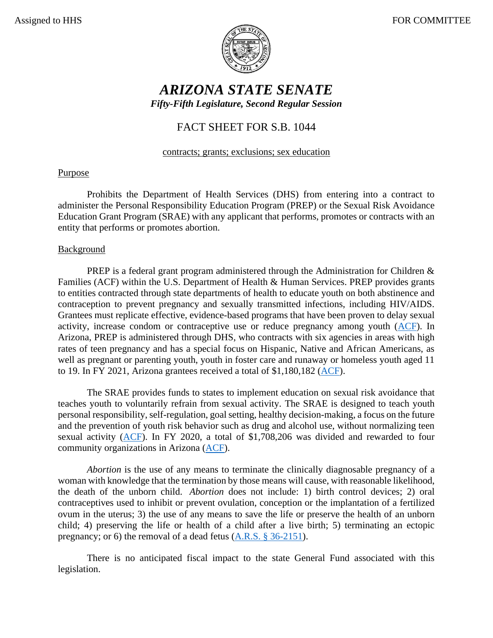

# *ARIZONA STATE SENATE Fifty-Fifth Legislature, Second Regular Session*

## FACT SHEET FOR S.B. 1044

#### contracts; grants; exclusions; sex education

## Purpose

Prohibits the Department of Health Services (DHS) from entering into a contract to administer the Personal Responsibility Education Program (PREP) or the Sexual Risk Avoidance Education Grant Program (SRAE) with any applicant that performs, promotes or contracts with an entity that performs or promotes abortion.

### **Background**

PREP is a federal grant program administered through the Administration for Children & Families (ACF) within the U.S. Department of Health & Human Services. PREP provides grants to entities contracted through state departments of health to educate youth on both abstinence and contraception to prevent pregnancy and sexually transmitted infections, including HIV/AIDS. Grantees must replicate effective, evidence-based programs that have been proven to delay sexual activity, increase condom or contraceptive use or reduce pregnancy among youth [\(ACF\)](https://www.acf.hhs.gov/fysb/fact-sheet/state-personal-responsibility-education-program). In Arizona, PREP is administered through DHS, who contracts with six agencies in areas with high rates of teen pregnancy and has a special focus on Hispanic, Native and African Americans, as well as pregnant or parenting youth, youth in foster care and runaway or homeless youth aged 11 to 19. In FY 2021, Arizona grantees received a total of \$1,180,182 [\(ACF\)](https://www.acf.hhs.gov/fysb/grant-funding/state-personal-responsibility-education-program-prep-grantees-fy2020-fy2-2021).

The SRAE provides funds to states to implement education on sexual risk avoidance that teaches youth to voluntarily refrain from sexual activity. The SRAE is designed to teach youth personal responsibility, self-regulation, goal setting, healthy decision-making, a focus on the future and the prevention of youth risk behavior such as drug and alcohol use, without normalizing teen sexual activity [\(ACF\)](https://www.acf.hhs.gov/fysb/fact-sheet/title-v-state-sexual-risk-avoidance-education-fact-sheet). In FY 2020, a total of \$1,708,206 was divided and rewarded to four community organizations in Arizona [\(ACF\)](https://www.acf.hhs.gov/fysb/grant-funding/fysb/sexual-risk-avoidance-education-program-grantee-profiles).

*Abortion* is the use of any means to terminate the clinically diagnosable pregnancy of a woman with knowledge that the termination by those means will cause, with reasonable likelihood, the death of the unborn child. *Abortion* does not include: 1) birth control devices; 2) oral contraceptives used to inhibit or prevent ovulation, conception or the implantation of a fertilized ovum in the uterus; 3) the use of any means to save the life or preserve the health of an unborn child; 4) preserving the life or health of a child after a live birth; 5) terminating an ectopic pregnancy; or 6) the removal of a dead fetus [\(A.R.S. § 36-2151\)](https://www.azleg.gov/viewdocument/?docName=https://www.azleg.gov/ars/36/02151.htm).

There is no anticipated fiscal impact to the state General Fund associated with this legislation.